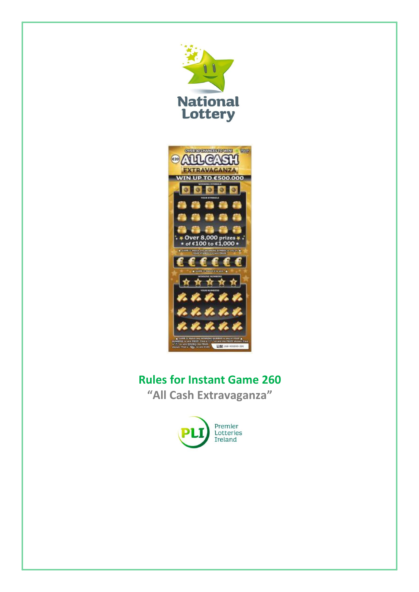



# **Rules for Instant Game 260**

**"All Cash Extravaganza"**

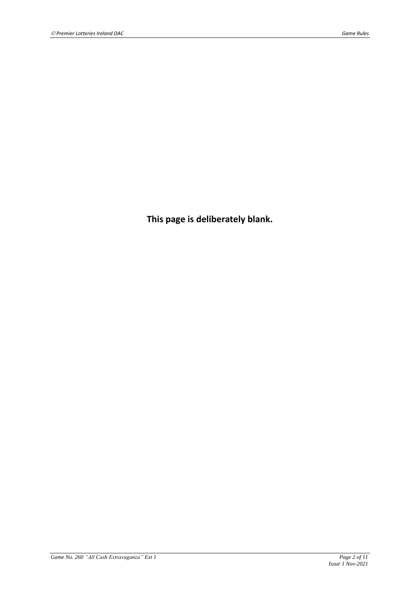**This page is deliberately blank.**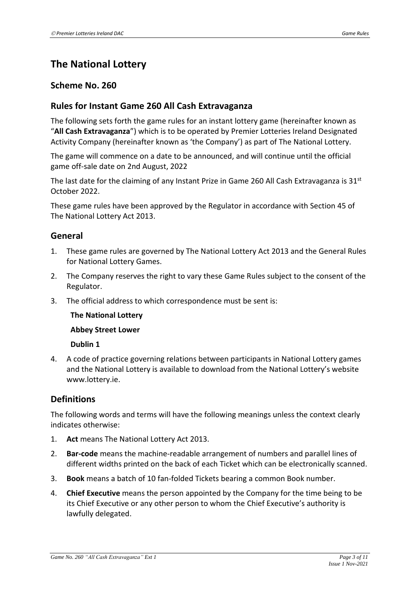## **The National Lottery**

#### **Scheme No. 260**

## **Rules for Instant Game 260 All Cash Extravaganza**

The following sets forth the game rules for an instant lottery game (hereinafter known as "**All Cash Extravaganza**") which is to be operated by Premier Lotteries Ireland Designated Activity Company (hereinafter known as 'the Company') as part of The National Lottery.

The game will commence on a date to be announced, and will continue until the official game off-sale date on 2nd August, 2022

The last date for the claiming of any Instant Prize in Game 260 All Cash Extravaganza is  $31<sup>st</sup>$ October 2022.

These game rules have been approved by the Regulator in accordance with Section 45 of The National Lottery Act 2013.

#### **General**

- 1. These game rules are governed by The National Lottery Act 2013 and the General Rules for National Lottery Games.
- 2. The Company reserves the right to vary these Game Rules subject to the consent of the Regulator.
- 3. The official address to which correspondence must be sent is:

#### **The National Lottery**

#### **Abbey Street Lower**

**Dublin 1**

4. A code of practice governing relations between participants in National Lottery games and the National Lottery is available to download from the National Lottery's website [www.lottery.ie.](http://www.lottery.ie/)

#### **Definitions**

The following words and terms will have the following meanings unless the context clearly indicates otherwise:

- 1. **Act** means The National Lottery Act 2013.
- 2. **Bar-code** means the machine-readable arrangement of numbers and parallel lines of different widths printed on the back of each Ticket which can be electronically scanned.
- 3. **Book** means a batch of 10 fan-folded Tickets bearing a common Book number.
- 4. **Chief Executive** means the person appointed by the Company for the time being to be its Chief Executive or any other person to whom the Chief Executive's authority is lawfully delegated.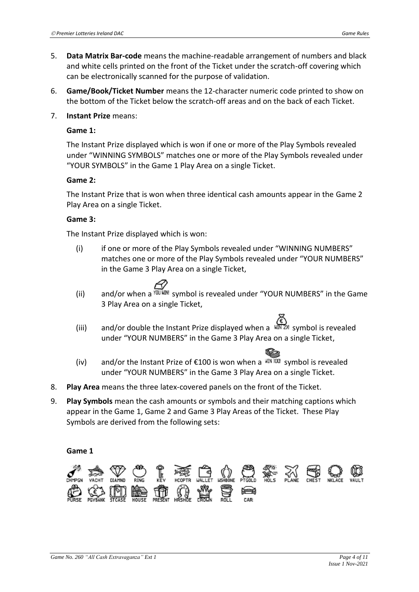- 5. **Data Matrix Bar-code** means the machine-readable arrangement of numbers and black and white cells printed on the front of the Ticket under the scratch-off covering which can be electronically scanned for the purpose of validation.
- 6. **Game/Book/Ticket Number** means the 12-character numeric code printed to show on the bottom of the Ticket below the scratch-off areas and on the back of each Ticket.
- 7. **Instant Prize** means:

#### **Game 1:**

The Instant Prize displayed which is won if one or more of the Play Symbols revealed under "WINNING SYMBOLS" matches one or more of the Play Symbols revealed under "YOUR SYMBOLS" in the Game 1 Play Area on a single Ticket.

#### **Game 2:**

The Instant Prize that is won when three identical cash amounts appear in the Game 2 Play Area on a single Ticket.

#### **Game 3:**

The Instant Prize displayed which is won:

- (i) if one or more of the Play Symbols revealed under "WINNING NUMBERS" matches one or more of the Play Symbols revealed under "YOUR NUMBERS" in the Game 3 Play Area on a single Ticket,
- (ii) and/or when a  $\overline{{\tt NU}}$  symbol is revealed under "YOUR NUMBERS" in the Game 3 Play Area on a single Ticket,
- (iii) and/or double the Instant Prize displayed when a  $\binom{C}{M}$  symbol is revealed under "YOUR NUMBERS" in the Game 3 Play Area on a single Ticket,



- (iv) and/or the Instant Prize of  $\epsilon$ 100 is won when a  $\frac{1}{2}$  will symbol is revealed under "YOUR NUMBERS" in the Game 3 Play Area on a single Ticket.
- 8. **Play Area** means the three latex-covered panels on the front of the Ticket.
- 9. **Play Symbols** mean the cash amounts or symbols and their matching captions which appear in the Game 1, Game 2 and Game 3 Play Areas of the Ticket. These Play Symbols are derived from the following sets:

#### **Game 1**

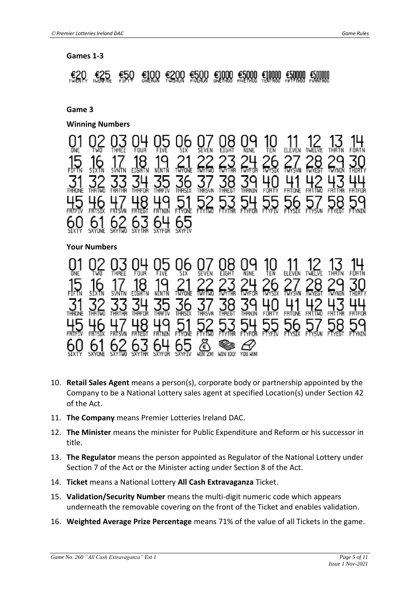#### **Games 1-3**

 $\epsilon$ 20  $\epsilon$ 25  $\epsilon$ 50  $\epsilon$ 100  $\epsilon$ 200  $\epsilon$ 500  $\epsilon$ 1000  $\epsilon$ 5000  $\epsilon$ 10000  $\epsilon$ 50000  $\epsilon$ 50000  $\epsilon$ 50000

**Game 3**

#### **Winning Numbers**

| $\underset{\text{one}}{0.1}$<br>$\frac{15}{15}$<br>$\frac{31}{4}$ | <u>0្លួ</u><br>16<br>$32me$<br>H5 H6 H7 H8 H9 51 52 53 54 55 56 57 58 59<br>60 61 62 63 64 65 | 50NTN         | OZ OY<br>18 <sub>effN</sub><br>33 34 35 36 37 38 39 40                                                          | 19 <sub>ntv</sub> | <b>TWYONE</b> | $Q_{\text{TV}}$ $Q_{\text{SX}}$ $Q_{\text{SVEN}}$<br>22 |  | <b>Q8 Q9</b><br>23 24 | 10<br>26<br><b>TWYSIX</b> | 11<br>ጼ | 12 13<br>28<br>$\frac{41}{\frac{130}{21}} \frac{42}{\frac{130}{211}} \frac{43}{\frac{130}{2111}} \frac{44}{\frac{130}{2111}}$ | $\overline{\mathsf{tW}}_{\mathsf{NNIN}}$ | 14<br>FÖRTN<br>30<br>THIRTY |
|-------------------------------------------------------------------|-----------------------------------------------------------------------------------------------|---------------|-----------------------------------------------------------------------------------------------------------------|-------------------|---------------|---------------------------------------------------------|--|-----------------------|---------------------------|---------|-------------------------------------------------------------------------------------------------------------------------------|------------------------------------------|-----------------------------|
| <b>Your Numbers</b>                                               |                                                                                               |               |                                                                                                                 |                   |               |                                                         |  |                       |                           |         |                                                                                                                               |                                          |                             |
| $\bigcup_{\mathsf{ONE}}$                                          | Q2                                                                                            |               | $0.3 \Omega$ $0.4 \Omega$ <sub>rve</sub> $0.5 \Omega$ <sub>six</sub> $0.7 \Omega$ 8 $0.9 \Omega$ <sub>rve</sub> |                   |               |                                                         |  |                       |                           |         | ELEVEN TWELVE THRTN                                                                                                           |                                          | $14$ <sub>Fortn</sub>       |
| $15 \text{ m}$                                                    |                                                                                               | $\frac{1}{2}$ | 18 <sub>effN</sub>                                                                                              | $\int_{NINTN}$    |               | $22.22$ $23.24$ $26.2$                                  |  |                       |                           | ፚ       | 28                                                                                                                            | 29                                       | <b>30</b>                   |
| $\frac{31}{1180}$                                                 | 32 33 34 35 36 37 38 39 40                                                                    |               |                                                                                                                 |                   |               |                                                         |  |                       |                           |         | 41 42                                                                                                                         | ᄔᅹᇾ                                      | 나나<br>FRTFOR                |
|                                                                   | 45 46 47<br><sup>FRIEW</sup> FRISK FRISW                                                      |               | <u> 48 49 51 52 53 54 55 56 57 58 59</u>                                                                        |                   |               |                                                         |  |                       |                           |         |                                                                                                                               |                                          |                             |
|                                                                   | 60 61 62 63 64 65 & Read of                                                                   |               |                                                                                                                 |                   |               |                                                         |  |                       |                           |         |                                                                                                                               |                                          |                             |

- 10. **Retail Sales Agent** means a person(s), corporate body or partnership appointed by the Company to be a National Lottery sales agent at specified Location(s) under Section 42 of the Act.
- 11. **The Company** means Premier Lotteries Ireland DAC.
- 12. **The Minister** means the minister for Public Expenditure and Reform or his successor in title.
- 13. **The Regulator** means the person appointed as Regulator of the National Lottery under Section 7 of the Act or the Minister acting under Section 8 of the Act.
- 14. **Ticket** means a National Lottery **All Cash Extravaganza** Ticket.
- 15. **Validation/Security Number** means the multi-digit numeric code which appears underneath the removable covering on the front of the Ticket and enables validation.
- 16. **Weighted Average Prize Percentage** means 71% of the value of all Tickets in the game.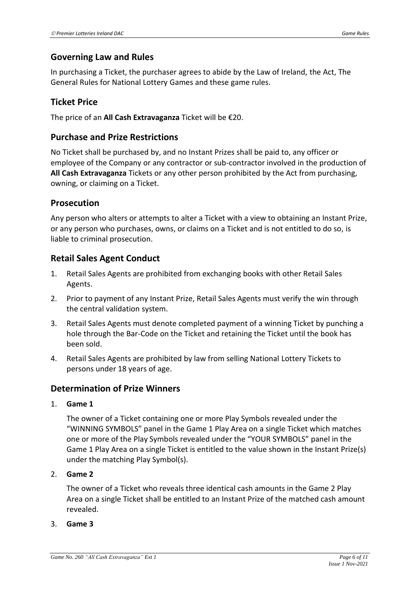#### **Governing Law and Rules**

In purchasing a Ticket, the purchaser agrees to abide by the Law of Ireland, the Act, The General Rules for National Lottery Games and these game rules.

## **Ticket Price**

The price of an **All Cash Extravaganza** Ticket will be €20.

#### **Purchase and Prize Restrictions**

No Ticket shall be purchased by, and no Instant Prizes shall be paid to, any officer or employee of the Company or any contractor or sub-contractor involved in the production of **All Cash Extravaganza** Tickets or any other person prohibited by the Act from purchasing, owning, or claiming on a Ticket.

## **Prosecution**

Any person who alters or attempts to alter a Ticket with a view to obtaining an Instant Prize, or any person who purchases, owns, or claims on a Ticket and is not entitled to do so, is liable to criminal prosecution.

## **Retail Sales Agent Conduct**

- 1. Retail Sales Agents are prohibited from exchanging books with other Retail Sales Agents.
- 2. Prior to payment of any Instant Prize, Retail Sales Agents must verify the win through the central validation system.
- 3. Retail Sales Agents must denote completed payment of a winning Ticket by punching a hole through the Bar-Code on the Ticket and retaining the Ticket until the book has been sold.
- 4. Retail Sales Agents are prohibited by law from selling National Lottery Tickets to persons under 18 years of age.

#### **Determination of Prize Winners**

1. **Game 1**

The owner of a Ticket containing one or more Play Symbols revealed under the "WINNING SYMBOLS" panel in the Game 1 Play Area on a single Ticket which matches one or more of the Play Symbols revealed under the "YOUR SYMBOLS" panel in the Game 1 Play Area on a single Ticket is entitled to the value shown in the Instant Prize(s) under the matching Play Symbol(s).

2. **Game 2**

The owner of a Ticket who reveals three identical cash amounts in the Game 2 Play Area on a single Ticket shall be entitled to an Instant Prize of the matched cash amount revealed.

#### 3. **Game 3**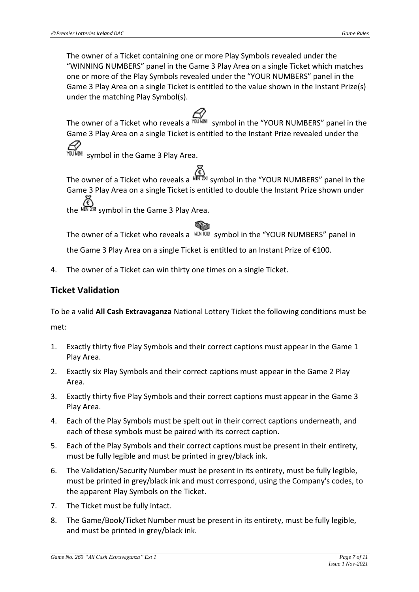The owner of a Ticket containing one or more Play Symbols revealed under the "WINNING NUMBERS" panel in the Game 3 Play Area on a single Ticket which matches one or more of the Play Symbols revealed under the "YOUR NUMBERS" panel in the Game 3 Play Area on a single Ticket is entitled to the value shown in the Instant Prize(s) under the matching Play Symbol(s).

The owner of a Ticket who reveals a  $\frac{1}{2}$  symbol in the "YOUR NUMBERS" panel in the Game 3 Play Area on a single Ticket is entitled to the Instant Prize revealed under the

**YOU WIN** symbol in the Game 3 Play Area.

The owner of a Ticket who reveals a **KEY symbol in the "YOUR NUMBERS"** panel in the Game 3 Play Area on a single Ticket is entitled to double the Instant Prize shown under

the  $\bigoplus_{M\in\mathbb{N}}\mathbb{Z}^{M}$  symbol in the Game 3 Play Area.

The owner of a Ticket who reveals a WINTOOI: symbol in the "YOUR NUMBERS" panel in the Game 3 Play Area on a single Ticket is entitled to an Instant Prize of €100.

4. The owner of a Ticket can win thirty one times on a single Ticket.

## **Ticket Validation**

To be a valid **All Cash Extravaganza** National Lottery Ticket the following conditions must be

met:

- 1. Exactly thirty five Play Symbols and their correct captions must appear in the Game 1 Play Area.
- 2. Exactly six Play Symbols and their correct captions must appear in the Game 2 Play Area.
- 3. Exactly thirty five Play Symbols and their correct captions must appear in the Game 3 Play Area.
- 4. Each of the Play Symbols must be spelt out in their correct captions underneath, and each of these symbols must be paired with its correct caption.
- 5. Each of the Play Symbols and their correct captions must be present in their entirety, must be fully legible and must be printed in grey/black ink.
- 6. The Validation/Security Number must be present in its entirety, must be fully legible, must be printed in grey/black ink and must correspond, using the Company's codes, to the apparent Play Symbols on the Ticket.
- 7. The Ticket must be fully intact.
- 8. The Game/Book/Ticket Number must be present in its entirety, must be fully legible, and must be printed in grey/black ink.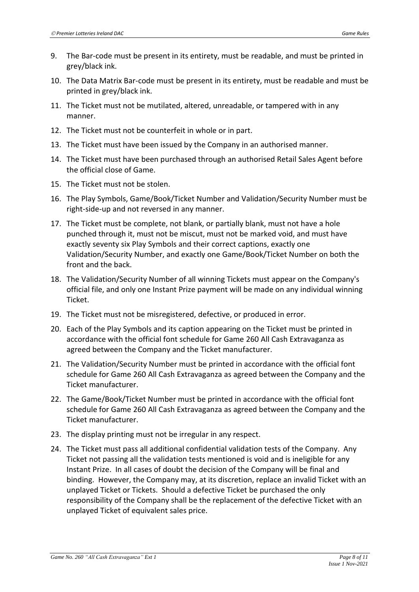- 9. The Bar-code must be present in its entirety, must be readable, and must be printed in grey/black ink.
- 10. The Data Matrix Bar-code must be present in its entirety, must be readable and must be printed in grey/black ink.
- 11. The Ticket must not be mutilated, altered, unreadable, or tampered with in any manner.
- 12. The Ticket must not be counterfeit in whole or in part.
- 13. The Ticket must have been issued by the Company in an authorised manner.
- 14. The Ticket must have been purchased through an authorised Retail Sales Agent before the official close of Game.
- 15. The Ticket must not be stolen.
- 16. The Play Symbols, Game/Book/Ticket Number and Validation/Security Number must be right-side-up and not reversed in any manner.
- 17. The Ticket must be complete, not blank, or partially blank, must not have a hole punched through it, must not be miscut, must not be marked void, and must have exactly seventy six Play Symbols and their correct captions, exactly one Validation/Security Number, and exactly one Game/Book/Ticket Number on both the front and the back.
- 18. The Validation/Security Number of all winning Tickets must appear on the Company's official file, and only one Instant Prize payment will be made on any individual winning Ticket.
- 19. The Ticket must not be misregistered, defective, or produced in error.
- 20. Each of the Play Symbols and its caption appearing on the Ticket must be printed in accordance with the official font schedule for Game 260 All Cash Extravaganza as agreed between the Company and the Ticket manufacturer.
- 21. The Validation/Security Number must be printed in accordance with the official font schedule for Game 260 All Cash Extravaganza as agreed between the Company and the Ticket manufacturer.
- 22. The Game/Book/Ticket Number must be printed in accordance with the official font schedule for Game 260 All Cash Extravaganza as agreed between the Company and the Ticket manufacturer.
- 23. The display printing must not be irregular in any respect.
- 24. The Ticket must pass all additional confidential validation tests of the Company. Any Ticket not passing all the validation tests mentioned is void and is ineligible for any Instant Prize. In all cases of doubt the decision of the Company will be final and binding. However, the Company may, at its discretion, replace an invalid Ticket with an unplayed Ticket or Tickets. Should a defective Ticket be purchased the only responsibility of the Company shall be the replacement of the defective Ticket with an unplayed Ticket of equivalent sales price.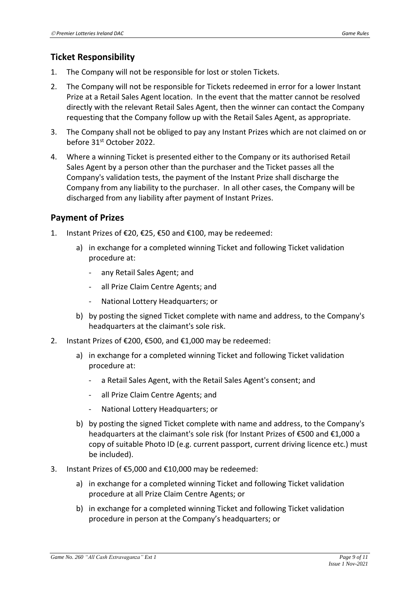## **Ticket Responsibility**

- 1. The Company will not be responsible for lost or stolen Tickets.
- 2. The Company will not be responsible for Tickets redeemed in error for a lower Instant Prize at a Retail Sales Agent location. In the event that the matter cannot be resolved directly with the relevant Retail Sales Agent, then the winner can contact the Company requesting that the Company follow up with the Retail Sales Agent, as appropriate.
- 3. The Company shall not be obliged to pay any Instant Prizes which are not claimed on or before 31st October 2022.
- 4. Where a winning Ticket is presented either to the Company or its authorised Retail Sales Agent by a person other than the purchaser and the Ticket passes all the Company's validation tests, the payment of the Instant Prize shall discharge the Company from any liability to the purchaser. In all other cases, the Company will be discharged from any liability after payment of Instant Prizes.

## **Payment of Prizes**

- 1. Instant Prizes of €20, €25, €50 and €100, may be redeemed:
	- a) in exchange for a completed winning Ticket and following Ticket validation procedure at:
		- any Retail Sales Agent; and
		- all Prize Claim Centre Agents; and
		- National Lottery Headquarters; or
	- b) by posting the signed Ticket complete with name and address, to the Company's headquarters at the claimant's sole risk.
- 2. Instant Prizes of €200, €500, and €1,000 may be redeemed:
	- a) in exchange for a completed winning Ticket and following Ticket validation procedure at:
		- a Retail Sales Agent, with the Retail Sales Agent's consent; and
		- all Prize Claim Centre Agents; and
		- National Lottery Headquarters; or
	- b) by posting the signed Ticket complete with name and address, to the Company's headquarters at the claimant's sole risk (for Instant Prizes of €500 and €1,000 a copy of suitable Photo ID (e.g. current passport, current driving licence etc.) must be included).
- 3. Instant Prizes of €5,000 and €10,000 may be redeemed:
	- a) in exchange for a completed winning Ticket and following Ticket validation procedure at all Prize Claim Centre Agents; or
	- b) in exchange for a completed winning Ticket and following Ticket validation procedure in person at the Company's headquarters; or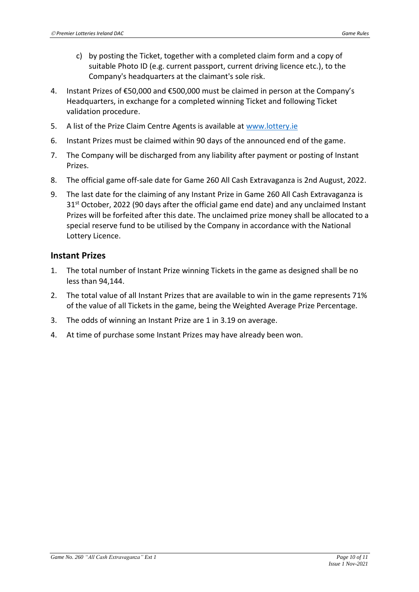- c) by posting the Ticket, together with a completed claim form and a copy of suitable Photo ID (e.g. current passport, current driving licence etc.), to the Company's headquarters at the claimant's sole risk.
- 4. Instant Prizes of €50,000 and €500,000 must be claimed in person at the Company's Headquarters, in exchange for a completed winning Ticket and following Ticket validation procedure.
- 5. A list of the Prize Claim Centre Agents is available at [www.lottery.ie](http://www.lottery.ie/)
- 6. Instant Prizes must be claimed within 90 days of the announced end of the game.
- 7. The Company will be discharged from any liability after payment or posting of Instant Prizes.
- 8. The official game off-sale date for Game 260 All Cash Extravaganza is 2nd August, 2022.
- 9. The last date for the claiming of any Instant Prize in Game 260 All Cash Extravaganza is  $31<sup>st</sup>$  October, 2022 (90 days after the official game end date) and any unclaimed Instant Prizes will be forfeited after this date. The unclaimed prize money shall be allocated to a special reserve fund to be utilised by the Company in accordance with the National Lottery Licence.

#### **Instant Prizes**

- 1. The total number of Instant Prize winning Tickets in the game as designed shall be no less than 94,144.
- 2. The total value of all Instant Prizes that are available to win in the game represents 71% of the value of all Tickets in the game, being the Weighted Average Prize Percentage.
- 3. The odds of winning an Instant Prize are 1 in 3.19 on average.
- 4. At time of purchase some Instant Prizes may have already been won.